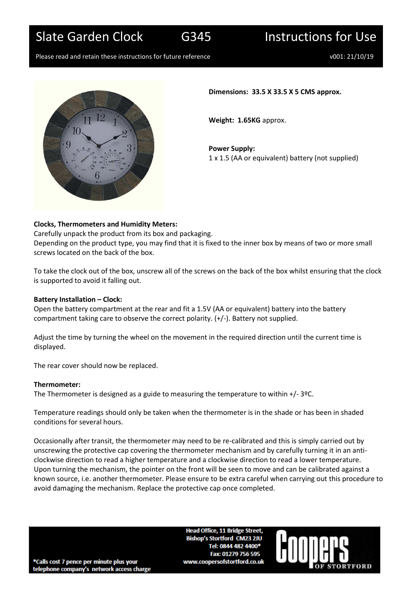Slate Garden Clock G345 Instructions for Use

Please read and retain these instructions for future reference values of the volume volume volume volume volume



**Dimensions: 33.5 X 33.5 X 5 CMS approx.**

**Weight: 1.65KG** approx.

**Power Supply:** 1 x 1.5 (AA or equivalent) battery (not supplied)

# **Clocks, Thermometers and Humidity Meters:**

Carefully unpack the product from its box and packaging. Depending on the product type, you may find that it is fixed to the inner box by means of two or more small screws located on the back of the box.

To take the clock out of the box, unscrew all of the screws on the back of the box whilst ensuring that the clock is supported to avoid it falling out.

## **Battery Installation – Clock:**

Open the battery compartment at the rear and fit a 1.5V (AA or equivalent) battery into the battery compartment taking care to observe the correct polarity. (+/-). Battery not supplied.

Adjust the time by turning the wheel on the movement in the required direction until the current time is displayed.

The rear cover should now be replaced.

### **Thermometer:**

The Thermometer is designed as a guide to measuring the temperature to within +/- 3ºC.

Temperature readings should only be taken when the thermometer is in the shade or has been in shaded conditions for several hours.

Occasionally after transit, the thermometer may need to be re-calibrated and this is simply carried out by unscrewing the protective cap covering the thermometer mechanism and by carefully turning it in an anticlockwise direction to read a higher temperature and a clockwise direction to read a lower temperature. Upon turning the mechanism, the pointer on the front will be seen to move and can be calibrated against a known source, i.e. another thermometer. Please ensure to be extra careful when carrying out this procedure to avoid damaging the mechanism. Replace the protective cap once completed.

> **Head Office, 11 Bridge Street. Bishop's Stortford CM23 2JU** Tel: 0844 482 4400\* Fax: 01279 756 595 www.coopersofstortford.co.uk



\*Calls cost 7 pence per minute plus your telephone company's network access charge